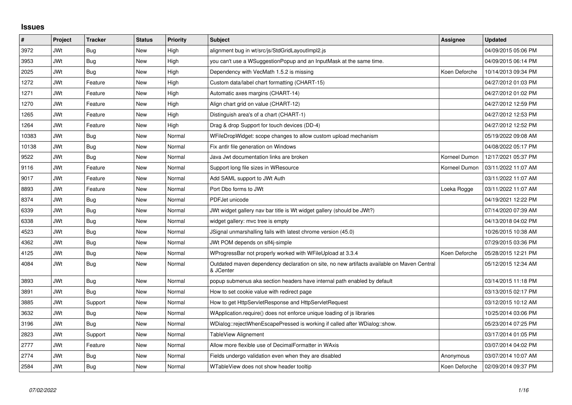## **Issues**

| $\vert$ # | Project    | <b>Tracker</b> | <b>Status</b> | <b>Priority</b> | <b>Subject</b>                                                                                          | Assignee      | <b>Updated</b>      |
|-----------|------------|----------------|---------------|-----------------|---------------------------------------------------------------------------------------------------------|---------------|---------------------|
| 3972      | <b>JWt</b> | Bug            | <b>New</b>    | High            | alignment bug in wt/src/js/StdGridLayoutImpl2.js                                                        |               | 04/09/2015 05:06 PM |
| 3953      | <b>JWt</b> | Bug            | New           | High            | you can't use a WSuggestionPopup and an InputMask at the same time.                                     |               | 04/09/2015 06:14 PM |
| 2025      | <b>JWt</b> | Bug            | <b>New</b>    | High            | Dependency with VecMath 1.5.2 is missing                                                                | Koen Deforche | 10/14/2013 09:34 PM |
| 1272      | <b>JWt</b> | Feature        | <b>New</b>    | High            | Custom data/label chart formatting (CHART-15)                                                           |               | 04/27/2012 01:03 PM |
| 1271      | <b>JWt</b> | Feature        | New           | High            | Automatic axes margins (CHART-14)                                                                       |               | 04/27/2012 01:02 PM |
| 1270      | <b>JWt</b> | Feature        | <b>New</b>    | High            | Align chart grid on value (CHART-12)                                                                    |               | 04/27/2012 12:59 PM |
| 1265      | <b>JWt</b> | Feature        | <b>New</b>    | High            | Distinguish area's of a chart (CHART-1)                                                                 |               | 04/27/2012 12:53 PM |
| 1264      | <b>JWt</b> | Feature        | New           | High            | Drag & drop Support for touch devices (DD-4)                                                            |               | 04/27/2012 12:52 PM |
| 10383     | <b>JWt</b> | <b>Bug</b>     | <b>New</b>    | Normal          | WFileDropWidget: scope changes to allow custom upload mechanism                                         |               | 05/19/2022 09:08 AM |
| 10138     | <b>JWt</b> | <b>Bug</b>     | New           | Normal          | Fix antlr file generation on Windows                                                                    |               | 04/08/2022 05:17 PM |
| 9522      | JWt        | Bug            | <b>New</b>    | Normal          | Java Jwt documentation links are broken                                                                 | Korneel Dumon | 12/17/2021 05:37 PM |
| 9116      | JWt        | Feature        | New           | Normal          | Support long file sizes in WResource                                                                    | Korneel Dumon | 03/11/2022 11:07 AM |
| 9017      | <b>JWt</b> | Feature        | New           | Normal          | Add SAML support to JWt Auth                                                                            |               | 03/11/2022 11:07 AM |
| 8893      | <b>JWt</b> | Feature        | <b>New</b>    | Normal          | Port Dbo forms to JWt                                                                                   | Loeka Rogge   | 03/11/2022 11:07 AM |
| 8374      | <b>JWt</b> | Bug            | <b>New</b>    | Normal          | PDFJet unicode                                                                                          |               | 04/19/2021 12:22 PM |
| 6339      | <b>JWt</b> | Bug            | New           | Normal          | JWt widget gallery nav bar title is Wt widget gallery (should be JWt?)                                  |               | 07/14/2020 07:39 AM |
| 6338      | <b>JWt</b> | Bug            | <b>New</b>    | Normal          | widget gallery: mvc tree is empty                                                                       |               | 04/13/2018 04:02 PM |
| 4523      | <b>JWt</b> | <b>Bug</b>     | New           | Normal          | JSignal unmarshalling fails with latest chrome version (45.0)                                           |               | 10/26/2015 10:38 AM |
| 4362      | JWt        | Bug            | <b>New</b>    | Normal          | JWt POM depends on slf4j-simple                                                                         |               | 07/29/2015 03:36 PM |
| 4125      | <b>JWt</b> | Bug            | New           | Normal          | WProgressBar not properly worked with WFileUpload at 3.3.4                                              | Koen Deforche | 05/28/2015 12:21 PM |
| 4084      | <b>JWt</b> | Bug            | <b>New</b>    | Normal          | Outdated maven dependency declaration on site, no new artifacts available on Maven Central<br>& JCenter |               | 05/12/2015 12:34 AM |
| 3893      | JWt        | Bug            | <b>New</b>    | Normal          | popup submenus aka section headers have internal path enabled by default                                |               | 03/14/2015 11:18 PM |
| 3891      | JWt        | Bug            | <b>New</b>    | Normal          | How to set cookie value with redirect page                                                              |               | 03/13/2015 02:17 PM |
| 3885      | <b>JWt</b> | Support        | New           | Normal          | How to get HttpServletResponse and HttpServletRequest                                                   |               | 03/12/2015 10:12 AM |
| 3632      | <b>JWt</b> | Bug            | <b>New</b>    | Normal          | WApplication.require() does not enforce unique loading of is libraries                                  |               | 10/25/2014 03:06 PM |
| 3196      | JWt        | Bug            | New           | Normal          | WDialog::rejectWhenEscapePressed is working if called after WDialog::show.                              |               | 05/23/2014 07:25 PM |
| 2823      | JWt        | Support        | <b>New</b>    | Normal          | TableView Alignement                                                                                    |               | 03/17/2014 01:05 PM |
| 2777      | JWt        | Feature        | New           | Normal          | Allow more flexible use of DecimalFormatter in WAxis                                                    |               | 03/07/2014 04:02 PM |
| 2774      | <b>JWt</b> | <b>Bug</b>     | <b>New</b>    | Normal          | Fields undergo validation even when they are disabled                                                   | Anonymous     | 03/07/2014 10:07 AM |
| 2584      | <b>JWt</b> | <b>Bug</b>     | New           | Normal          | WTableView does not show header tooltip                                                                 | Koen Deforche | 02/09/2014 09:37 PM |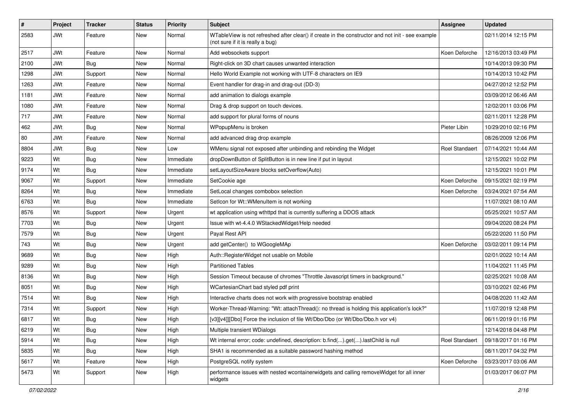| #    | Project    | <b>Tracker</b> | <b>Status</b> | <b>Priority</b> | Subject                                                                                                                               | Assignee              | <b>Updated</b>      |
|------|------------|----------------|---------------|-----------------|---------------------------------------------------------------------------------------------------------------------------------------|-----------------------|---------------------|
| 2583 | JWt        | Feature        | New           | Normal          | WTableView is not refreshed after clear() if create in the constructor and not init - see example<br>(not sure if it is really a bug) |                       | 02/11/2014 12:15 PM |
| 2517 | JWt        | Feature        | <b>New</b>    | Normal          | Add websockets support                                                                                                                | Koen Deforche         | 12/16/2013 03:49 PM |
| 2100 | <b>JWt</b> | Bug            | New           | Normal          | Right-click on 3D chart causes unwanted interaction                                                                                   |                       | 10/14/2013 09:30 PM |
| 1298 | <b>JWt</b> | Support        | <b>New</b>    | Normal          | Hello World Example not working with UTF-8 characters on IE9                                                                          |                       | 10/14/2013 10:42 PM |
| 1263 | <b>JWt</b> | Feature        | New           | Normal          | Event handler for drag-in and drag-out (DD-3)                                                                                         |                       | 04/27/2012 12:52 PM |
| 1181 | <b>JWt</b> | Feature        | New           | Normal          | add animation to dialogs example                                                                                                      |                       | 03/09/2012 06:46 AM |
| 1080 | <b>JWt</b> | Feature        | <b>New</b>    | Normal          | Drag & drop support on touch devices.                                                                                                 |                       | 12/02/2011 03:06 PM |
| 717  | <b>JWt</b> | Feature        | New           | Normal          | add support for plural forms of nouns                                                                                                 |                       | 02/11/2011 12:28 PM |
| 462  | <b>JWt</b> | Bug            | <b>New</b>    | Normal          | WPopupMenu is broken                                                                                                                  | Pieter Libin          | 10/29/2010 02:16 PM |
| 80   | <b>JWt</b> | Feature        | New           | Normal          | add advanced drag drop example                                                                                                        |                       | 08/26/2009 12:06 PM |
| 8804 | <b>JWt</b> | Bug            | New           | Low             | WMenu signal not exposed after unbinding and rebinding the Widget                                                                     | <b>Roel Standaert</b> | 07/14/2021 10:44 AM |
| 9223 | Wt         | Bug            | New           | Immediate       | dropDownButton of SplitButton is in new line if put in layout                                                                         |                       | 12/15/2021 10:02 PM |
| 9174 | Wt         | <b>Bug</b>     | New           | Immediate       | setLayoutSizeAware blocks setOverflow(Auto)                                                                                           |                       | 12/15/2021 10:01 PM |
| 9067 | Wt         | Support        | New           | Immediate       | SetCookie age                                                                                                                         | Koen Deforche         | 09/15/2021 02:19 PM |
| 8264 | Wt         | Bug            | New           | Immediate       | SetLocal changes combobox selection                                                                                                   | Koen Deforche         | 03/24/2021 07:54 AM |
| 6763 | Wt         | Bug            | New           | Immediate       | SetIcon for Wt:: WMenuItem is not working                                                                                             |                       | 11/07/2021 08:10 AM |
| 8576 | Wt         | Support        | New           | Urgent          | wt application using wthttpd that is currently suffering a DDOS attack                                                                |                       | 05/25/2021 10:57 AM |
| 7703 | Wt         | <b>Bug</b>     | New           | Urgent          | Issue with wt-4.4.0 WStackedWidget/Help needed                                                                                        |                       | 09/04/2020 08:24 PM |
| 7579 | Wt         | Bug            | New           | Urgent          | Payal Rest API                                                                                                                        |                       | 05/22/2020 11:50 PM |
| 743  | Wt         | <b>Bug</b>     | <b>New</b>    | Urgent          | add getCenter() to WGoogleMAp                                                                                                         | Koen Deforche         | 03/02/2011 09:14 PM |
| 9689 | Wt         | Bug            | New           | High            | Auth::RegisterWidget not usable on Mobile                                                                                             |                       | 02/01/2022 10:14 AM |
| 9289 | Wt         | Bug            | <b>New</b>    | High            | <b>Partitioned Tables</b>                                                                                                             |                       | 11/04/2021 11:45 PM |
| 8136 | Wt         | <b>Bug</b>     | New           | High            | Session Timeout because of chromes "Throttle Javascript timers in background."                                                        |                       | 02/25/2021 10:08 AM |
| 8051 | Wt         | Bug            | <b>New</b>    | High            | WCartesianChart bad styled pdf print                                                                                                  |                       | 03/10/2021 02:46 PM |
| 7514 | Wt         | <b>Bug</b>     | New           | High            | Interactive charts does not work with progressive bootstrap enabled                                                                   |                       | 04/08/2020 11:42 AM |
| 7314 | Wt         | Support        | New           | High            | Worker-Thread-Warning: "Wt: attachThread(): no thread is holding this application's lock?"                                            |                       | 11/07/2019 12:48 PM |
| 6817 | Wt         | Bug            | New           | High            | [v3][v4]][Dbo] Force the inclusion of file Wt/Dbo/Dbo (or Wt/Dbo/Dbo.h vor v4)                                                        |                       | 06/11/2019 01:16 PM |
| 6219 | Wt         | <b>Bug</b>     | New           | High            | Multiple transient WDialogs                                                                                                           |                       | 12/14/2018 04:48 PM |
| 5914 | Wt         | <b>Bug</b>     | New           | High            | Wt internal error; code: undefined, description: b.find().get().lastChild is null                                                     | Roel Standaert        | 09/18/2017 01:16 PM |
| 5835 | Wt         | <b>Bug</b>     | New           | High            | SHA1 is recommended as a suitable password hashing method                                                                             |                       | 08/11/2017 04:32 PM |
| 5617 | Wt         | Feature        | New           | High            | PostgreSQL notify system                                                                                                              | Koen Deforche         | 03/23/2017 03:06 AM |
| 5473 | Wt         | Support        | New           | High            | performance issues with nested wcontainerwidgets and calling removeWidget for all inner<br>widgets                                    |                       | 01/03/2017 06:07 PM |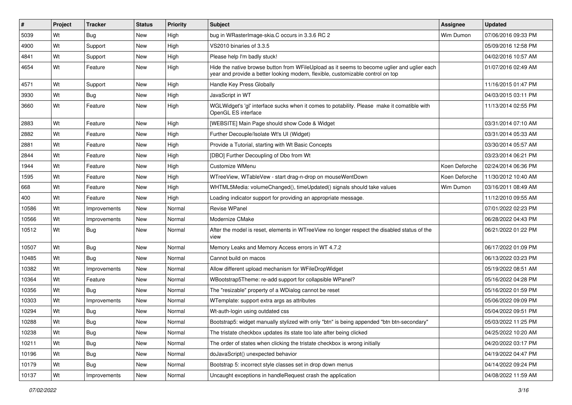| #     | Project | <b>Tracker</b> | <b>Status</b> | <b>Priority</b> | <b>Subject</b>                                                                                                                                                                 | <b>Assignee</b> | <b>Updated</b>      |
|-------|---------|----------------|---------------|-----------------|--------------------------------------------------------------------------------------------------------------------------------------------------------------------------------|-----------------|---------------------|
| 5039  | Wt      | Bug            | <b>New</b>    | High            | bug in WRasterImage-skia.C occurs in 3.3.6 RC 2                                                                                                                                | Wim Dumon       | 07/06/2016 09:33 PM |
| 4900  | Wt      | Support        | <b>New</b>    | High            | VS2010 binaries of 3.3.5                                                                                                                                                       |                 | 05/09/2016 12:58 PM |
| 4841  | Wt      | Support        | <b>New</b>    | High            | Please help I'm badly stuck!                                                                                                                                                   |                 | 04/02/2016 10:57 AM |
| 4654  | Wt      | Feature        | New           | High            | Hide the native browse button from WFileUpload as it seems to become uglier and uglier each<br>year and provide a better looking modern, flexible, customizable control on top |                 | 01/07/2016 02:49 AM |
| 4571  | Wt      | Support        | New           | High            | Handle Key Press Globally                                                                                                                                                      |                 | 11/16/2015 01:47 PM |
| 3930  | Wt      | Bug            | <b>New</b>    | High            | JavaScript in WT                                                                                                                                                               |                 | 04/03/2015 03:11 PM |
| 3660  | Wt      | Feature        | New           | High            | WGLWidget's 'gl' interface sucks when it comes to potability. Please make it comatible with<br>OpenGL ES interface                                                             |                 | 11/13/2014 02:55 PM |
| 2883  | Wt      | Feature        | <b>New</b>    | High            | [WEBSITE] Main Page should show Code & Widget                                                                                                                                  |                 | 03/31/2014 07:10 AM |
| 2882  | Wt      | Feature        | <b>New</b>    | High            | Further Decouple/Isolate Wt's UI (Widget)                                                                                                                                      |                 | 03/31/2014 05:33 AM |
| 2881  | Wt      | Feature        | New           | High            | Provide a Tutorial, starting with Wt Basic Concepts                                                                                                                            |                 | 03/30/2014 05:57 AM |
| 2844  | Wt      | Feature        | <b>New</b>    | High            | [DBO] Further Decoupling of Dbo from Wt                                                                                                                                        |                 | 03/23/2014 06:21 PM |
| 1944  | Wt      | Feature        | New           | High            | Customize WMenu                                                                                                                                                                | Koen Deforche   | 02/24/2014 06:36 PM |
| 1595  | Wt      | Feature        | <b>New</b>    | High            | WTreeView, WTableVew - start drag-n-drop on mouseWentDown                                                                                                                      | Koen Deforche   | 11/30/2012 10:40 AM |
| 668   | Wt      | Feature        | <b>New</b>    | High            | WHTML5Media: volumeChanged(), timeUpdated() signals should take values                                                                                                         | Wim Dumon       | 03/16/2011 08:49 AM |
| 400   | Wt      | Feature        | <b>New</b>    | High            | Loading indicator support for providing an appropriate message.                                                                                                                |                 | 11/12/2010 09:55 AM |
| 10586 | Wt      | Improvements   | <b>New</b>    | Normal          | <b>Revise WPanel</b>                                                                                                                                                           |                 | 07/01/2022 02:23 PM |
| 10566 | Wt      | Improvements   | New           | Normal          | Modernize CMake                                                                                                                                                                |                 | 06/28/2022 04:43 PM |
| 10512 | Wt      | Bug            | New           | Normal          | After the model is reset, elements in WTreeView no longer respect the disabled status of the<br>view                                                                           |                 | 06/21/2022 01:22 PM |
| 10507 | Wt      | <b>Bug</b>     | <b>New</b>    | Normal          | Memory Leaks and Memory Access errors in WT 4.7.2                                                                                                                              |                 | 06/17/2022 01:09 PM |
| 10485 | Wt      | Bug            | <b>New</b>    | Normal          | Cannot build on macos                                                                                                                                                          |                 | 06/13/2022 03:23 PM |
| 10382 | Wt      | Improvements   | <b>New</b>    | Normal          | Allow different upload mechanism for WFileDropWidget                                                                                                                           |                 | 05/19/2022 08:51 AM |
| 10364 | Wt      | Feature        | New           | Normal          | WBootstrap5Theme: re-add support for collapsible WPanel?                                                                                                                       |                 | 05/16/2022 04:28 PM |
| 10356 | Wt      | Bug            | <b>New</b>    | Normal          | The "resizable" property of a WDialog cannot be reset                                                                                                                          |                 | 05/16/2022 01:59 PM |
| 10303 | Wt      | Improvements   | New           | Normal          | WTemplate: support extra args as attributes                                                                                                                                    |                 | 05/06/2022 09:09 PM |
| 10294 | Wt      | <b>Bug</b>     | <b>New</b>    | Normal          | Wt-auth-login using outdated css                                                                                                                                               |                 | 05/04/2022 09:51 PM |
| 10288 | Wt      | Bug            | New           | Normal          | Bootstrap5: widget manually stylized with only "btn" is being appended "btn btn-secondary"                                                                                     |                 | 05/03/2022 11:25 PM |
| 10238 | Wt      | Bug            | New           | Normal          | The tristate checkbox updates its state too late after being clicked                                                                                                           |                 | 04/25/2022 10:20 AM |
| 10211 | Wt      | <b>Bug</b>     | New           | Normal          | The order of states when clicking the tristate checkbox is wrong initially                                                                                                     |                 | 04/20/2022 03:17 PM |
| 10196 | Wt      | <b>Bug</b>     | New           | Normal          | doJavaScript() unexpected behavior                                                                                                                                             |                 | 04/19/2022 04:47 PM |
| 10179 | Wt      | Bug            | New           | Normal          | Bootstrap 5: incorrect style classes set in drop down menus                                                                                                                    |                 | 04/14/2022 09:24 PM |
| 10137 | Wt      | Improvements   | New           | Normal          | Uncaught exceptions in handleRequest crash the application                                                                                                                     |                 | 04/08/2022 11:59 AM |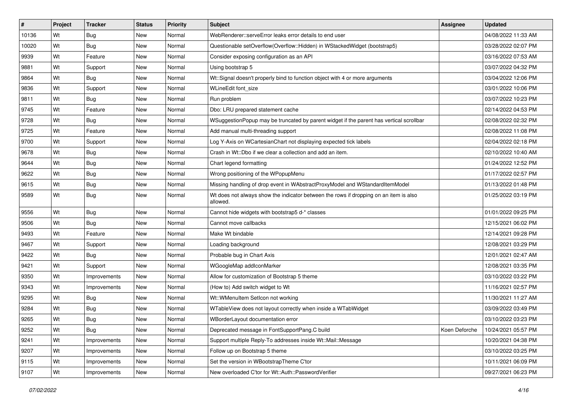| $\sharp$ | Project | <b>Tracker</b> | <b>Status</b> | <b>Priority</b> | <b>Subject</b>                                                                                    | Assignee      | <b>Updated</b>      |
|----------|---------|----------------|---------------|-----------------|---------------------------------------------------------------------------------------------------|---------------|---------------------|
| 10136    | Wt      | Bug            | New           | Normal          | WebRenderer::serveError leaks error details to end user                                           |               | 04/08/2022 11:33 AM |
| 10020    | Wt      | Bug            | <b>New</b>    | Normal          | Questionable setOverflow(Overflow::Hidden) in WStackedWidget (bootstrap5)                         |               | 03/28/2022 02:07 PM |
| 9939     | Wt      | Feature        | New           | Normal          | Consider exposing configuration as an API                                                         |               | 03/16/2022 07:53 AM |
| 9881     | Wt      | Support        | New           | Normal          | Using bootstrap 5                                                                                 |               | 03/07/2022 04:32 PM |
| 9864     | Wt      | Bug            | New           | Normal          | Wt::Signal doesn't properly bind to function object with 4 or more arguments                      |               | 03/04/2022 12:06 PM |
| 9836     | Wt      | Support        | New           | Normal          | WLineEdit font size                                                                               |               | 03/01/2022 10:06 PM |
| 9811     | Wt      | Bug            | New           | Normal          | Run problem                                                                                       |               | 03/07/2022 10:23 PM |
| 9745     | Wt      | Feature        | New           | Normal          | Dbo: LRU prepared statement cache                                                                 |               | 02/14/2022 04:53 PM |
| 9728     | Wt      | Bug            | New           | Normal          | WSuggestionPopup may be truncated by parent widget if the parent has vertical scrollbar           |               | 02/08/2022 02:32 PM |
| 9725     | Wt      | Feature        | <b>New</b>    | Normal          | Add manual multi-threading support                                                                |               | 02/08/2022 11:08 PM |
| 9700     | Wt      | Support        | New           | Normal          | Log Y-Axis on WCartesianChart not displaying expected tick labels                                 |               | 02/04/2022 02:18 PM |
| 9678     | Wt      | Bug            | New           | Normal          | Crash in Wt::Dbo if we clear a collection and add an item.                                        |               | 02/10/2022 10:40 AM |
| 9644     | Wt      | Bug            | New           | Normal          | Chart legend formatting                                                                           |               | 01/24/2022 12:52 PM |
| 9622     | Wt      | Bug            | <b>New</b>    | Normal          | Wrong positioning of the WPopupMenu                                                               |               | 01/17/2022 02:57 PM |
| 9615     | Wt      | Bug            | New           | Normal          | Missing handling of drop event in WAbstractProxyModel and WStandardItemModel                      |               | 01/13/2022 01:48 PM |
| 9589     | Wt      | Bug            | New           | Normal          | Wt does not always show the indicator between the rows if dropping on an item is also<br>allowed. |               | 01/25/2022 03:19 PM |
| 9556     | Wt      | Bug            | <b>New</b>    | Normal          | Cannot hide widgets with bootstrap5 d-* classes                                                   |               | 01/01/2022 09:25 PM |
| 9506     | Wt      | Bug            | New           | Normal          | Cannot move callbacks                                                                             |               | 12/15/2021 06:02 PM |
| 9493     | Wt      | Feature        | <b>New</b>    | Normal          | Make Wt bindable                                                                                  |               | 12/14/2021 09:28 PM |
| 9467     | Wt      | Support        | New           | Normal          | Loading background                                                                                |               | 12/08/2021 03:29 PM |
| 9422     | Wt      | Bug            | <b>New</b>    | Normal          | Probable bug in Chart Axis                                                                        |               | 12/01/2021 02:47 AM |
| 9421     | Wt      | Support        | <b>New</b>    | Normal          | WGoogleMap addlconMarker                                                                          |               | 12/08/2021 03:35 PM |
| 9350     | Wt      | Improvements   | New           | Normal          | Allow for customization of Bootstrap 5 theme                                                      |               | 03/10/2022 03:22 PM |
| 9343     | Wt      | Improvements   | New           | Normal          | (How to) Add switch widget to Wt                                                                  |               | 11/16/2021 02:57 PM |
| 9295     | Wt      | Bug            | New           | Normal          | Wt::WMenuItem SetIcon not working                                                                 |               | 11/30/2021 11:27 AM |
| 9284     | Wt      | Bug            | New           | Normal          | WTableView does not layout correctly when inside a WTabWidget                                     |               | 03/09/2022 03:49 PM |
| 9265     | Wt      | Bug            | New           | Normal          | WBorderLayout documentation error                                                                 |               | 03/10/2022 03:23 PM |
| 9252     | Wt      | Bug            | <b>New</b>    | Normal          | Deprecated message in FontSupportPang.C build                                                     | Koen Deforche | 10/24/2021 05:57 PM |
| 9241     | Wt      | Improvements   | New           | Normal          | Support multiple Reply-To addresses inside Wt::Mail::Message                                      |               | 10/20/2021 04:38 PM |
| 9207     | Wt      | Improvements   | <b>New</b>    | Normal          | Follow up on Bootstrap 5 theme                                                                    |               | 03/10/2022 03:25 PM |
| 9115     | Wt      | Improvements   | <b>New</b>    | Normal          | Set the version in WBootstrapTheme C'tor                                                          |               | 10/11/2021 06:09 PM |
| 9107     | Wt      | Improvements   | New           | Normal          | New overloaded C'tor for Wt::Auth::PasswordVerifier                                               |               | 09/27/2021 06:23 PM |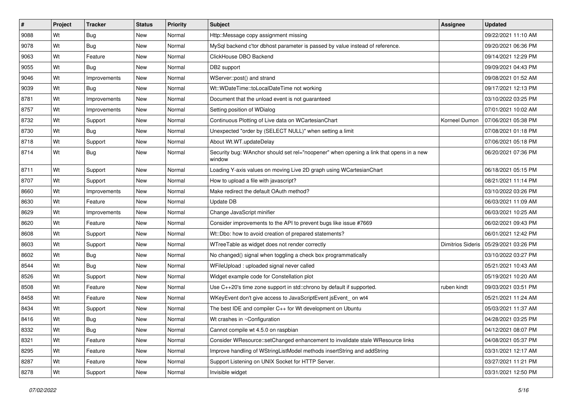| $\vert$ # | Project | <b>Tracker</b> | <b>Status</b> | <b>Priority</b> | <b>Subject</b>                                                                                    | Assignee                 | <b>Updated</b>      |
|-----------|---------|----------------|---------------|-----------------|---------------------------------------------------------------------------------------------------|--------------------------|---------------------|
| 9088      | Wt      | Bug            | New           | Normal          | Http::Message copy assignment missing                                                             |                          | 09/22/2021 11:10 AM |
| 9078      | Wt      | <b>Bug</b>     | <b>New</b>    | Normal          | MySql backend c'tor dbhost parameter is passed by value instead of reference.                     |                          | 09/20/2021 06:36 PM |
| 9063      | Wt      | Feature        | New           | Normal          | ClickHouse DBO Backend                                                                            |                          | 09/14/2021 12:29 PM |
| 9055      | Wt      | Bug            | New           | Normal          | DB2 support                                                                                       |                          | 09/09/2021 04:43 PM |
| 9046      | Wt      | Improvements   | <b>New</b>    | Normal          | WServer::post() and strand                                                                        |                          | 09/08/2021 01:52 AM |
| 9039      | Wt      | <b>Bug</b>     | New           | Normal          | Wt::WDateTime::toLocalDateTime not working                                                        |                          | 09/17/2021 12:13 PM |
| 8781      | Wt      | Improvements   | <b>New</b>    | Normal          | Document that the unload event is not guaranteed                                                  |                          | 03/10/2022 03:25 PM |
| 8757      | Wt      | Improvements   | New           | Normal          | Setting position of WDialog                                                                       |                          | 07/01/2021 10:02 AM |
| 8732      | Wt      | Support        | <b>New</b>    | Normal          | Continuous Plotting of Live data on WCartesianChart                                               | Korneel Dumon            | 07/06/2021 05:38 PM |
| 8730      | Wt      | Bug            | New           | Normal          | Unexpected "order by (SELECT NULL)" when setting a limit                                          |                          | 07/08/2021 01:18 PM |
| 8718      | Wt      | Support        | New           | Normal          | About Wt.WT.updateDelay                                                                           |                          | 07/06/2021 05:18 PM |
| 8714      | Wt      | Bug            | New           | Normal          | Security bug: WAnchor should set rel="noopener" when opening a link that opens in a new<br>window |                          | 06/20/2021 07:36 PM |
| 8711      | Wt      | Support        | New           | Normal          | Loading Y-axis values on moving Live 2D graph using WCartesianChart                               |                          | 06/18/2021 05:15 PM |
| 8707      | Wt      | Support        | <b>New</b>    | Normal          | How to upload a file with javascript?                                                             |                          | 08/21/2021 11:14 PM |
| 8660      | Wt      | Improvements   | New           | Normal          | Make redirect the default OAuth method?                                                           |                          | 03/10/2022 03:26 PM |
| 8630      | Wt      | Feature        | New           | Normal          | Update DB                                                                                         |                          | 06/03/2021 11:09 AM |
| 8629      | Wt      | Improvements   | <b>New</b>    | Normal          | Change JavaScript minifier                                                                        |                          | 06/03/2021 10:25 AM |
| 8620      | Wt      | Feature        | New           | Normal          | Consider improvements to the API to prevent bugs like issue #7669                                 |                          | 06/02/2021 09:43 PM |
| 8608      | Wt      | Support        | <b>New</b>    | Normal          | Wt::Dbo: how to avoid creation of prepared statements?                                            |                          | 06/01/2021 12:42 PM |
| 8603      | Wt      | Support        | New           | Normal          | WTreeTable as widget does not render correctly                                                    | <b>Dimitrios Sideris</b> | 05/29/2021 03:26 PM |
| 8602      | Wt      | Bug            | <b>New</b>    | Normal          | No changed() signal when toggling a check box programmatically                                    |                          | 03/10/2022 03:27 PM |
| 8544      | Wt      | <b>Bug</b>     | New           | Normal          | WFileUpload : uploaded signal never called                                                        |                          | 05/21/2021 10:43 AM |
| 8526      | Wt      | Support        | New           | Normal          | Widget example code for Constellation plot                                                        |                          | 05/19/2021 10:20 AM |
| 8508      | Wt      | Feature        | New           | Normal          | Use C++20's time zone support in std::chrono by default if supported.                             | ruben kindt              | 09/03/2021 03:51 PM |
| 8458      | Wt      | Feature        | New           | Normal          | WKeyEvent don't give access to JavaScriptEvent jsEvent_on wt4                                     |                          | 05/21/2021 11:24 AM |
| 8434      | Wt      | Support        | New           | Normal          | The best IDE and compiler C++ for Wt development on Ubuntu                                        |                          | 05/03/2021 11:37 AM |
| 8416      | Wt      | Bug            | New           | Normal          | Wt crashes in ~Configuration                                                                      |                          | 04/28/2021 03:25 PM |
| 8332      | Wt      | Bug            | New           | Normal          | Cannot compile wt 4.5.0 on raspbian                                                               |                          | 04/12/2021 08:07 PM |
| 8321      | Wt      | Feature        | New           | Normal          | Consider WResource::setChanged enhancement to invalidate stale WResource links                    |                          | 04/08/2021 05:37 PM |
| 8295      | Wt      | Feature        | <b>New</b>    | Normal          | Improve handling of WStringListModel methods insertString and addString                           |                          | 03/31/2021 12:17 AM |
| 8287      | Wt      | Feature        | New           | Normal          | Support Listening on UNIX Socket for HTTP Server.                                                 |                          | 03/27/2021 11:21 PM |
| 8278      | Wt      | Support        | New           | Normal          | Invisible widget                                                                                  |                          | 03/31/2021 12:50 PM |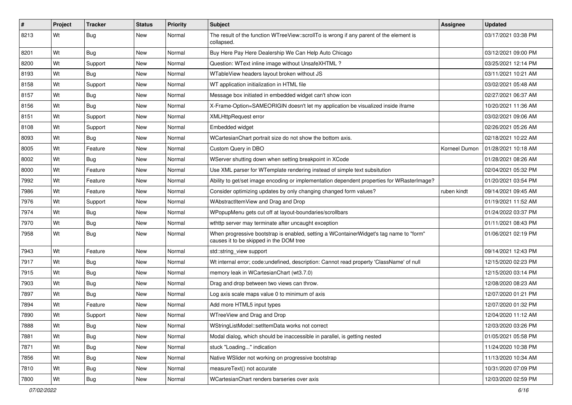| #    | Project | <b>Tracker</b> | <b>Status</b> | <b>Priority</b> | <b>Subject</b>                                                                                                                    | Assignee      | <b>Updated</b>      |
|------|---------|----------------|---------------|-----------------|-----------------------------------------------------------------------------------------------------------------------------------|---------------|---------------------|
| 8213 | Wt      | Bug            | New           | Normal          | The result of the function WTreeView::scrollTo is wrong if any parent of the element is<br>collapsed.                             |               | 03/17/2021 03:38 PM |
| 8201 | Wt      | Bug            | New           | Normal          | Buy Here Pay Here Dealership We Can Help Auto Chicago                                                                             |               | 03/12/2021 09:00 PM |
| 8200 | Wt      | Support        | <b>New</b>    | Normal          | Question: WText inline image without UnsafeXHTML?                                                                                 |               | 03/25/2021 12:14 PM |
| 8193 | Wt      | <b>Bug</b>     | <b>New</b>    | Normal          | WTableView headers layout broken without JS                                                                                       |               | 03/11/2021 10:21 AM |
| 8158 | Wt      | Support        | New           | Normal          | WT application initialization in HTML file                                                                                        |               | 03/02/2021 05:48 AM |
| 8157 | Wt      | Bug            | New           | Normal          | Message box initiated in embedded widget can't show icon                                                                          |               | 02/27/2021 06:37 AM |
| 8156 | Wt      | Bug            | <b>New</b>    | Normal          | X-Frame-Option=SAMEORIGIN doesn't let my application be visualized inside iframe                                                  |               | 10/20/2021 11:36 AM |
| 8151 | Wt      | Support        | New           | Normal          | <b>XMLHttpRequest error</b>                                                                                                       |               | 03/02/2021 09:06 AM |
| 8108 | Wt      | Support        | <b>New</b>    | Normal          | Embedded widget                                                                                                                   |               | 02/26/2021 05:26 AM |
| 8093 | Wt      | Bug            | New           | Normal          | WCartesianChart portrait size do not show the bottom axis.                                                                        |               | 02/18/2021 10:22 AM |
| 8005 | Wt      | Feature        | <b>New</b>    | Normal          | Custom Query in DBO                                                                                                               | Korneel Dumon | 01/28/2021 10:18 AM |
| 8002 | Wt      | Bug            | <b>New</b>    | Normal          | WServer shutting down when setting breakpoint in XCode                                                                            |               | 01/28/2021 08:26 AM |
| 8000 | Wt      | Feature        | New           | Normal          | Use XML parser for WTemplate rendering instead of simple text subsitution                                                         |               | 02/04/2021 05:32 PM |
| 7992 | Wt      | Feature        | <b>New</b>    | Normal          | Ability to get/set image encoding or implementation dependent properties for WRasterImage?                                        |               | 01/20/2021 03:54 PM |
| 7986 | Wt      | Feature        | New           | Normal          | Consider optimizing updates by only changing changed form values?                                                                 | ruben kindt   | 09/14/2021 09:45 AM |
| 7976 | Wt      | Support        | <b>New</b>    | Normal          | WAbstractItemView and Drag and Drop                                                                                               |               | 01/19/2021 11:52 AM |
| 7974 | Wt      | Bug            | <b>New</b>    | Normal          | WPopupMenu gets cut off at layout-boundaries/scrollbars                                                                           |               | 01/24/2022 03:37 PM |
| 7970 | Wt      | <b>Bug</b>     | New           | Normal          | wthttp server may terminate after uncaught exception                                                                              |               | 01/11/2021 08:43 PM |
| 7958 | Wt      | Bug            | New           | Normal          | When progressive bootstrap is enabled, setting a WContainerWidget's tag name to "form"<br>causes it to be skipped in the DOM tree |               | 01/06/2021 02:19 PM |
| 7943 | Wt      | Feature        | New           | Normal          | std::string_view support                                                                                                          |               | 09/14/2021 12:43 PM |
| 7917 | Wt      | Bug            | <b>New</b>    | Normal          | Wt internal error; code:undefined, description: Cannot read property 'ClassName' of null                                          |               | 12/15/2020 02:23 PM |
| 7915 | Wt      | <b>Bug</b>     | New           | Normal          | memory leak in WCartesianChart (wt3.7.0)                                                                                          |               | 12/15/2020 03:14 PM |
| 7903 | Wt      | Bug            | <b>New</b>    | Normal          | Drag and drop between two views can throw.                                                                                        |               | 12/08/2020 08:23 AM |
| 7897 | Wt      | Bug            | <b>New</b>    | Normal          | Log axis scale maps value 0 to minimum of axis                                                                                    |               | 12/07/2020 01:21 PM |
| 7894 | Wt      | Feature        | New           | Normal          | Add more HTML5 input types                                                                                                        |               | 12/07/2020 01:32 PM |
| 7890 | Wt      | Support        | New           | Normal          | WTreeView and Drag and Drop                                                                                                       |               | 12/04/2020 11:12 AM |
| 7888 | Wt      | Bug            | New           | Normal          | WStringListModel::setItemData works not correct                                                                                   |               | 12/03/2020 03:26 PM |
| 7881 | Wt      | Bug            | New           | Normal          | Modal dialog, which should be inaccessible in parallel, is getting nested                                                         |               | 01/05/2021 05:58 PM |
| 7871 | Wt      | Bug            | <b>New</b>    | Normal          | stuck "Loading" indication                                                                                                        |               | 11/24/2020 10:38 PM |
| 7856 | Wt      | <b>Bug</b>     | New           | Normal          | Native WSIider not working on progressive bootstrap                                                                               |               | 11/13/2020 10:34 AM |
| 7810 | Wt      | <b>Bug</b>     | New           | Normal          | measureText() not accurate                                                                                                        |               | 10/31/2020 07:09 PM |
| 7800 | Wt      | <b>Bug</b>     | New           | Normal          | WCartesianChart renders barseries over axis                                                                                       |               | 12/03/2020 02:59 PM |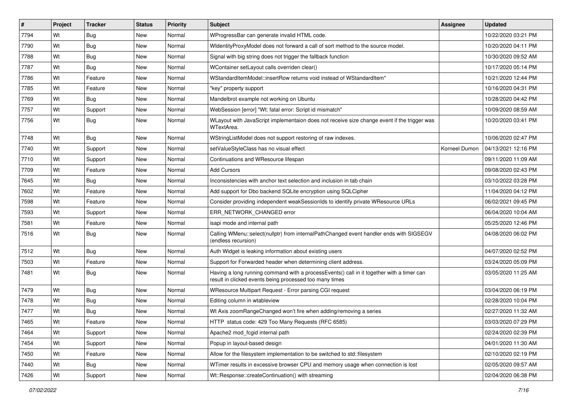| $\vert$ # | Project | <b>Tracker</b> | <b>Status</b> | Priority | <b>Subject</b>                                                                                                                                       | <b>Assignee</b> | <b>Updated</b>      |
|-----------|---------|----------------|---------------|----------|------------------------------------------------------------------------------------------------------------------------------------------------------|-----------------|---------------------|
| 7794      | Wt      | <b>Bug</b>     | New           | Normal   | WProgressBar can generate invalid HTML code.                                                                                                         |                 | 10/22/2020 03:21 PM |
| 7790      | Wt      | Bug            | New           | Normal   | WidentityProxyModel does not forward a call of sort method to the source model.                                                                      |                 | 10/20/2020 04:11 PM |
| 7788      | Wt      | Bug            | New           | Normal   | Signal with big string does not trigger the fallback function                                                                                        |                 | 10/30/2020 09:52 AM |
| 7787      | Wt      | <b>Bug</b>     | New           | Normal   | WContainer setLayout calls overriden clear()                                                                                                         |                 | 10/17/2020 05:14 PM |
| 7786      | Wt      | Feature        | New           | Normal   | WStandardItemModel::insertRow returns void instead of WStandardItem*                                                                                 |                 | 10/21/2020 12:44 PM |
| 7785      | Wt      | Feature        | New           | Normal   | "key" property support                                                                                                                               |                 | 10/16/2020 04:31 PM |
| 7769      | Wt      | Bug            | New           | Normal   | Mandelbrot example not working on Ubuntu                                                                                                             |                 | 10/28/2020 04:42 PM |
| 7757      | Wt      | Support        | New           | Normal   | WebSession [error] "Wt: fatal error: Script id mismatch"                                                                                             |                 | 10/09/2020 08:59 AM |
| 7756      | Wt      | Bug            | New           | Normal   | WLayout with JavaScript implementaion does not receive size change event if the trigger was<br>WTextArea.                                            |                 | 10/20/2020 03:41 PM |
| 7748      | Wt      | Bug            | New           | Normal   | WStringListModel does not support restoring of raw indexes.                                                                                          |                 | 10/06/2020 02:47 PM |
| 7740      | Wt      | Support        | <b>New</b>    | Normal   | setValueStyleClass has no visual effect                                                                                                              | Korneel Dumon   | 04/13/2021 12:16 PM |
| 7710      | Wt      | Support        | <b>New</b>    | Normal   | Continuations and WResource lifespan                                                                                                                 |                 | 09/11/2020 11:09 AM |
| 7709      | Wt      | Feature        | New           | Normal   | <b>Add Cursors</b>                                                                                                                                   |                 | 09/08/2020 02:43 PM |
| 7645      | Wt      | Bug            | New           | Normal   | Inconsistencies with anchor text selection and inclusion in tab chain                                                                                |                 | 03/10/2022 03:28 PM |
| 7602      | Wt      | Feature        | New           | Normal   | Add support for Dbo backend SQLite encryption using SQLCipher                                                                                        |                 | 11/04/2020 04:12 PM |
| 7598      | Wt      | Feature        | <b>New</b>    | Normal   | Consider providing independent weakSessionIds to identify private WResource URLs                                                                     |                 | 06/02/2021 09:45 PM |
| 7593      | Wt      | Support        | <b>New</b>    | Normal   | ERR_NETWORK_CHANGED error                                                                                                                            |                 | 06/04/2020 10:04 AM |
| 7581      | Wt      | Feature        | New           | Normal   | isapi mode and internal path                                                                                                                         |                 | 05/25/2020 12:46 PM |
| 7516      | Wt      | Bug            | New           | Normal   | Calling WMenu::select(nullptr) from internalPathChanged event handler ends with SIGSEGV<br>(endless recursion)                                       |                 | 04/08/2020 06:02 PM |
| 7512      | Wt      | Bug            | New           | Normal   | Auth Widget is leaking information about existing users                                                                                              |                 | 04/07/2020 02:52 PM |
| 7503      | Wt      | Feature        | New           | Normal   | Support for Forwarded header when determining client address.                                                                                        |                 | 03/24/2020 05:09 PM |
| 7481      | Wt      | Bug            | New           | Normal   | Having a long running command with a processEvents() call in it together with a timer can<br>result in clicked events being processed too many times |                 | 03/05/2020 11:25 AM |
| 7479      | Wt      | Bug            | New           | Normal   | WResource Multipart Request - Error parsing CGI request                                                                                              |                 | 03/04/2020 06:19 PM |
| 7478      | Wt      | Bug            | New           | Normal   | Editing column in wtableview                                                                                                                         |                 | 02/28/2020 10:04 PM |
| 7477      | Wt      | Bug            | New           | Normal   | Wt Axis zoomRangeChanged won't fire when adding/removing a series                                                                                    |                 | 02/27/2020 11:32 AM |
| 7465      | Wt      | Feature        | New           | Normal   | HTTP status code: 429 Too Many Requests (RFC 6585)                                                                                                   |                 | 03/03/2020 07:29 PM |
| 7464      | Wt      | Support        | New           | Normal   | Apache2 mod fcgid internal path                                                                                                                      |                 | 02/24/2020 02:39 PM |
| 7454      | Wt      | Support        | New           | Normal   | Popup in layout-based design                                                                                                                         |                 | 04/01/2020 11:30 AM |
| 7450      | Wt      | Feature        | New           | Normal   | Allow for the filesystem implementation to be switched to std::filesystem                                                                            |                 | 02/10/2020 02:19 PM |
| 7440      | Wt      | Bug            | New           | Normal   | WTimer results in excessive browser CPU and memory usage when connection is lost                                                                     |                 | 02/05/2020 09:57 AM |
| 7426      | Wt      | Support        | New           | Normal   | Wt::Response::createContinuation() with streaming                                                                                                    |                 | 02/04/2020 06:38 PM |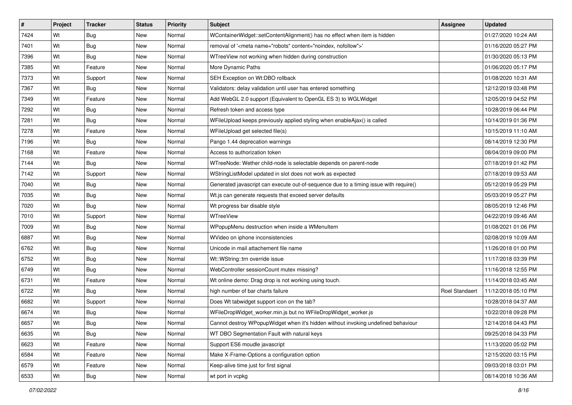| #    | Project | <b>Tracker</b> | <b>Status</b> | <b>Priority</b> | <b>Subject</b>                                                                        | Assignee              | <b>Updated</b>      |
|------|---------|----------------|---------------|-----------------|---------------------------------------------------------------------------------------|-----------------------|---------------------|
| 7424 | Wt      | <b>Bug</b>     | New           | Normal          | WContainerWidget::setContentAlignment() has no effect when item is hidden             |                       | 01/27/2020 10:24 AM |
| 7401 | Wt      | Bug            | New           | Normal          | removal of ' <meta content="noindex, nofollow" name="robots"/> '                      |                       | 01/16/2020 05:27 PM |
| 7396 | Wt      | Bug            | New           | Normal          | WTreeView not working when hidden during construction                                 |                       | 01/30/2020 05:13 PM |
| 7385 | Wt      | Feature        | <b>New</b>    | Normal          | More Dynamic Paths                                                                    |                       | 01/06/2020 05:17 PM |
| 7373 | Wt      | Support        | New           | Normal          | SEH Exception on Wt:DBO rollback                                                      |                       | 01/08/2020 10:31 AM |
| 7367 | Wt      | <b>Bug</b>     | New           | Normal          | Validators: delay validation until user has entered something                         |                       | 12/12/2019 03:48 PM |
| 7349 | Wt      | Feature        | New           | Normal          | Add WebGL 2.0 support (Equivalent to OpenGL ES 3) to WGLWidget                        |                       | 12/05/2019 04:52 PM |
| 7292 | Wt      | <b>Bug</b>     | New           | Normal          | Refresh token and access type                                                         |                       | 10/28/2019 06:44 PM |
| 7281 | Wt      | Bug            | New           | Normal          | WFileUpload keeps previously applied styling when enableAjax() is called              |                       | 10/14/2019 01:36 PM |
| 7278 | Wt      | Feature        | <b>New</b>    | Normal          | WFileUpload get selected file(s)                                                      |                       | 10/15/2019 11:10 AM |
| 7196 | Wt      | <b>Bug</b>     | New           | Normal          | Pango 1.44 deprecation warnings                                                       |                       | 08/14/2019 12:30 PM |
| 7168 | Wt      | Feature        | <b>New</b>    | Normal          | Access to authorization token                                                         |                       | 08/04/2019 09:00 PM |
| 7144 | Wt      | Bug            | <b>New</b>    | Normal          | WTreeNode: Wether child-node is selectable depends on parent-node                     |                       | 07/18/2019 01:42 PM |
| 7142 | Wt      | Support        | New           | Normal          | WStringListModel updated in slot does not work as expected                            |                       | 07/18/2019 09:53 AM |
| 7040 | Wt      | Bug            | New           | Normal          | Generated javascript can execute out-of-sequence due to a timing issue with require() |                       | 05/12/2019 05:29 PM |
| 7035 | Wt      | <b>Bug</b>     | New           | Normal          | Wt.js can generate requests that exceed server defaults                               |                       | 05/03/2019 05:27 PM |
| 7020 | Wt      | Bug            | <b>New</b>    | Normal          | Wt progress bar disable style                                                         |                       | 08/05/2019 12:46 PM |
| 7010 | Wt      | Support        | <b>New</b>    | Normal          | WTreeView                                                                             |                       | 04/22/2019 09:46 AM |
| 7009 | Wt      | Bug            | New           | Normal          | WPopupMenu destruction when inside a WMenuItem                                        |                       | 01/08/2021 01:06 PM |
| 6887 | Wt      | Bug            | New           | Normal          | WVideo on iphone inconsistencies                                                      |                       | 02/08/2019 10:09 AM |
| 6762 | Wt      | <b>Bug</b>     | New           | Normal          | Unicode in mail attachement file name                                                 |                       | 11/26/2018 01:00 PM |
| 6752 | Wt      | Bug            | <b>New</b>    | Normal          | Wt::WString::trn override issue                                                       |                       | 11/17/2018 03:39 PM |
| 6749 | Wt      | Bug            | <b>New</b>    | Normal          | WebController sessionCount mutex missing?                                             |                       | 11/16/2018 12:55 PM |
| 6731 | Wt      | Feature        | New           | Normal          | Wt online demo: Drag drop is not working using touch.                                 |                       | 11/14/2018 03:45 AM |
| 6722 | Wt      | Bug            | New           | Normal          | high number of bar charts failure                                                     | <b>Roel Standaert</b> | 11/12/2018 05:10 PM |
| 6682 | Wt      | Support        | <b>New</b>    | Normal          | Does Wt tabwidget support icon on the tab?                                            |                       | 10/28/2018 04:37 AM |
| 6674 | Wt      | <b>Bug</b>     | New           | Normal          | WFileDropWidget_worker.min.js but no WFileDropWidget_worker.js                        |                       | 10/22/2018 09:28 PM |
| 6657 | Wt      | <b>Bug</b>     | New           | Normal          | Cannot destroy WPopupWidget when it's hidden without invoking undefined behaviour     |                       | 12/14/2018 04:43 PM |
| 6635 | Wt      | Bug            | New           | Normal          | WT DBO Segmentation Fault with natural keys                                           |                       | 09/25/2018 04:33 PM |
| 6623 | Wt      | Feature        | New           | Normal          | Support ES6 moudle javascript                                                         |                       | 11/13/2020 05:02 PM |
| 6584 | Wt      | Feature        | New           | Normal          | Make X-Frame-Options a configuration option                                           |                       | 12/15/2020 03:15 PM |
| 6579 | Wt      | Feature        | New           | Normal          | Keep-alive time just for first signal                                                 |                       | 09/03/2018 03:01 PM |
| 6533 | Wt      | Bug            | New           | Normal          | wt port in vcpkg                                                                      |                       | 08/14/2018 10:36 AM |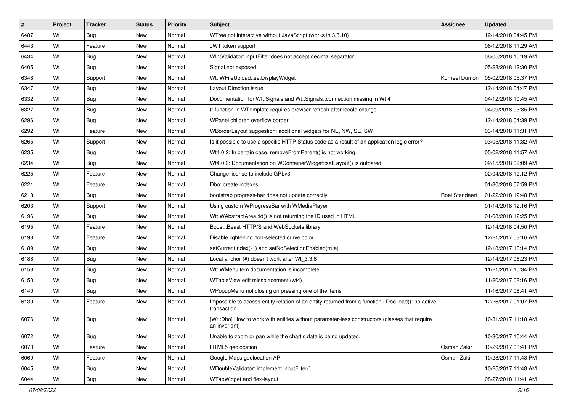| #    | Project | <b>Tracker</b> | <b>Status</b> | <b>Priority</b> | <b>Subject</b>                                                                                                    | Assignee       | <b>Updated</b>      |
|------|---------|----------------|---------------|-----------------|-------------------------------------------------------------------------------------------------------------------|----------------|---------------------|
| 6487 | Wt      | Bug            | New           | Normal          | WTree not interactive without JavaScript (works in 3.3.10)                                                        |                | 12/14/2018 04:45 PM |
| 6443 | Wt      | Feature        | <b>New</b>    | Normal          | JWT token support                                                                                                 |                | 06/12/2018 11:29 AM |
| 6434 | Wt      | <b>Bug</b>     | New           | Normal          | WIntValidator: inputFilter does not accept decimal separator                                                      |                | 06/05/2018 10:19 AM |
| 6405 | Wt      | <b>Bug</b>     | New           | Normal          | Signal not exposed                                                                                                |                | 05/28/2018 12:30 PM |
| 6348 | Wt      | Support        | New           | Normal          | Wt::WFileUpload::setDisplayWidget                                                                                 | Korneel Dumon  | 05/02/2018 05:37 PM |
| 6347 | Wt      | Bug            | New           | Normal          | Layout Direction issue                                                                                            |                | 12/14/2018 04:47 PM |
| 6332 | Wt      | Bug            | <b>New</b>    | Normal          | Documentation for Wt::Signals and Wt::Signals::connection missing in Wt 4                                         |                | 04/12/2018 10:45 AM |
| 6327 | Wt      | <b>Bug</b>     | New           | Normal          | tr function in WTemplate requires browser refresh after locale change                                             |                | 04/09/2018 03:35 PM |
| 6296 | Wt      | Bug            | <b>New</b>    | Normal          | WPanel children overflow border                                                                                   |                | 12/14/2018 04:39 PM |
| 6292 | Wt      | Feature        | <b>New</b>    | Normal          | WBorderLayout suggestion: additional widgets for NE, NW, SE, SW                                                   |                | 03/14/2018 11:31 PM |
| 6265 | Wt      | Support        | New           | Normal          | Is it possible to use a specific HTTP Status code as a result of an application logic error?                      |                | 03/05/2018 11:32 AM |
| 6235 | Wt      | Bug            | New           | Normal          | Wt4.0.2: In certain case, removeFromParent() is not working.                                                      |                | 05/02/2018 11:57 AM |
| 6234 | Wt      | Bug            | New           | Normal          | Wt4.0.2: Documentation on WContainerWidget::setLayout() is outdated.                                              |                | 02/15/2018 09:09 AM |
| 6225 | Wt      | Feature        | <b>New</b>    | Normal          | Change license to include GPLv3                                                                                   |                | 02/04/2018 12:12 PM |
| 6221 | Wt      | Feature        | New           | Normal          | Dbo: create indexes                                                                                               |                | 01/30/2018 07:59 PM |
| 6213 | Wt      | <b>Bug</b>     | New           | Normal          | bootstrap progress-bar does not update correctly                                                                  | Roel Standaert | 01/22/2018 12:48 PM |
| 6203 | Wt      | Support        | New           | Normal          | Using custom WProgressBar with WMediaPlayer                                                                       |                | 01/14/2018 12:16 PM |
| 6196 | Wt      | <b>Bug</b>     | New           | Normal          | Wt::WAbstractArea::id() is not returning the ID used in HTML                                                      |                | 01/08/2018 12:25 PM |
| 6195 | Wt      | Feature        | New           | Normal          | Boost::Beast HTTP/S and WebSockets library                                                                        |                | 12/14/2018 04:50 PM |
| 6193 | Wt      | Feature        | <b>New</b>    | Normal          | Disable lightening non-selected curve color                                                                       |                | 12/21/2017 03:16 AM |
| 6189 | Wt      | <b>Bug</b>     | New           | Normal          | setCurrentIndex(-1) and setNoSelectionEnabled(true)                                                               |                | 12/18/2017 10:14 PM |
| 6188 | Wt      | Bug            | <b>New</b>    | Normal          | Local anchor (#) doesn't work after Wt_3.3.6                                                                      |                | 12/14/2017 06:23 PM |
| 6158 | Wt      | Bug            | <b>New</b>    | Normal          | Wt::WMenuItem documentation is incomplete                                                                         |                | 11/21/2017 10:34 PM |
| 6150 | Wt      | Bug            | New           | Normal          | WTableView edit missplacement (wt4)                                                                               |                | 11/20/2017 08:16 PM |
| 6140 | Wt      | Bug            | New           | Normal          | WPopupMenu not closing on pressing one of the items                                                               |                | 11/16/2017 08:41 AM |
| 6130 | Wt      | Feature        | New           | Normal          | Impossible to access entity relation of an entity returned from a function   Dbo load(): no active<br>transaction |                | 12/26/2017 01:07 PM |
| 6076 | Wt      | Bug            | New           | Normal          | [Wt::Dbo] How to work with entities without parameter-less constructors (classes that require<br>an invariant)    |                | 10/31/2017 11:18 AM |
| 6072 | Wt      | Bug            | New           | Normal          | Unable to zoom or pan while the chart's data is being updated.                                                    |                | 10/30/2017 10:44 AM |
| 6070 | Wt      | Feature        | <b>New</b>    | Normal          | HTML5 geolocation                                                                                                 | Osman Zakir    | 10/29/2017 03:41 PM |
| 6069 | Wt      | Feature        | New           | Normal          | Google Maps geolocation API                                                                                       | Osman Zakir    | 10/28/2017 11:43 PM |
| 6045 | Wt      | <b>Bug</b>     | New           | Normal          | WDoubleValidator: implement inputFilter()                                                                         |                | 10/25/2017 11:48 AM |
| 6044 | Wt      | <b>Bug</b>     | New           | Normal          | WTabWidget and flex-layout                                                                                        |                | 08/27/2018 11:41 AM |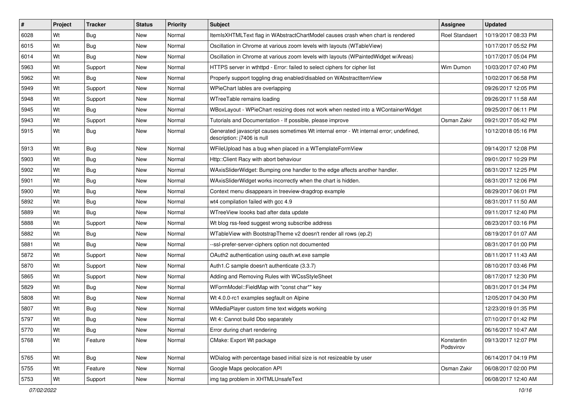| $\sharp$ | Project | <b>Tracker</b> | <b>Status</b> | <b>Priority</b> | Subject                                                                                                               | Assignee                | <b>Updated</b>      |
|----------|---------|----------------|---------------|-----------------|-----------------------------------------------------------------------------------------------------------------------|-------------------------|---------------------|
| 6028     | Wt      | Bug            | <b>New</b>    | Normal          | ItemIsXHTMLText flag in WAbstractChartModel causes crash when chart is rendered                                       | <b>Roel Standaert</b>   | 10/19/2017 08:33 PM |
| 6015     | Wt      | <b>Bug</b>     | New           | Normal          | Oscillation in Chrome at various zoom levels with layouts (WTableView)                                                |                         | 10/17/2017 05:52 PM |
| 6014     | Wt      | Bug            | New           | Normal          | Oscillation in Chrome at various zoom levels with layouts (WPaintedWidget w/Areas)                                    |                         | 10/17/2017 05:04 PM |
| 5963     | Wt      | Support        | <b>New</b>    | Normal          | HTTPS server in wthttpd - Error: failed to select ciphers for cipher list                                             | Wim Dumon               | 10/03/2017 07:40 PM |
| 5962     | Wt      | <b>Bug</b>     | New           | Normal          | Properly support toggling drag enabled/disabled on WAbstractItemView                                                  |                         | 10/02/2017 06:58 PM |
| 5949     | Wt      | Support        | New           | Normal          | WPieChart lables are overlapping                                                                                      |                         | 09/26/2017 12:05 PM |
| 5948     | Wt      | Support        | New           | Normal          | WTreeTable remains loading                                                                                            |                         | 09/26/2017 11:58 AM |
| 5945     | Wt      | <b>Bug</b>     | <b>New</b>    | Normal          | WBoxLayout - WPieChart resizing does not work when nested into a WContainerWidget                                     |                         | 09/25/2017 06:11 PM |
| 5943     | Wt      | Support        | New           | Normal          | Tutorials and Documentation - If possible, please improve                                                             | Osman Zakir             | 09/21/2017 05:42 PM |
| 5915     | Wt      | <b>Bug</b>     | <b>New</b>    | Normal          | Generated javascript causes sometimes Wt internal error - Wt internal error; undefined,<br>description: j7406 is null |                         | 10/12/2018 05:16 PM |
| 5913     | Wt      | Bug            | <b>New</b>    | Normal          | WFileUpload has a bug when placed in a WTemplateFormView                                                              |                         | 09/14/2017 12:08 PM |
| 5903     | Wt      | <b>Bug</b>     | New           | Normal          | Http::Client Racy with abort behaviour                                                                                |                         | 09/01/2017 10:29 PM |
| 5902     | Wt      | <b>Bug</b>     | New           | Normal          | WAxisSliderWidget: Bumping one handler to the edge affects another handler.                                           |                         | 08/31/2017 12:25 PM |
| 5901     | Wt      | <b>Bug</b>     | New           | Normal          | WAxisSliderWidget works incorrectly when the chart is hidden.                                                         |                         | 08/31/2017 12:06 PM |
| 5900     | Wt      | <b>Bug</b>     | <b>New</b>    | Normal          | Context menu disappears in treeview-dragdrop example                                                                  |                         | 08/29/2017 06:01 PM |
| 5892     | Wt      | <b>Bug</b>     | New           | Normal          | wt4 compilation failed with gcc 4.9                                                                                   |                         | 08/31/2017 11:50 AM |
| 5889     | Wt      | Bug            | New           | Normal          | WTreeView loooks bad after data update                                                                                |                         | 09/11/2017 12:40 PM |
| 5888     | Wt      | Support        | New           | Normal          | Wt blog rss-feed suggest wrong subscribe address                                                                      |                         | 08/23/2017 03:16 PM |
| 5882     | Wt      | <b>Bug</b>     | New           | Normal          | WTableView with BootstrapTheme v2 doesn't render all rows (ep.2)                                                      |                         | 08/19/2017 01:07 AM |
| 5881     | Wt      | Bug            | <b>New</b>    | Normal          | --ssl-prefer-server-ciphers option not documented                                                                     |                         | 08/31/2017 01:00 PM |
| 5872     | Wt      | Support        | New           | Normal          | OAuth2 authentication using oauth.wt.exe sample                                                                       |                         | 08/11/2017 11:43 AM |
| 5870     | Wt      | Support        | <b>New</b>    | Normal          | Auth1.C sample doesn't authenticate (3.3.7)                                                                           |                         | 08/10/2017 03:46 PM |
| 5865     | Wt      | Support        | New           | Normal          | Adding and Removing Rules with WCssStyleSheet                                                                         |                         | 08/17/2017 12:30 PM |
| 5829     | Wt      | <b>Bug</b>     | <b>New</b>    | Normal          | WFormModel::FieldMap with "const char*" key                                                                           |                         | 08/31/2017 01:34 PM |
| 5808     | Wt      | <b>Bug</b>     | New           | Normal          | Wt 4.0.0-rc1 examples segfault on Alpine                                                                              |                         | 12/05/2017 04:30 PM |
| 5807     | Wt      | <b>Bug</b>     | New           | Normal          | WMediaPlayer custom time text widgets working                                                                         |                         | 12/23/2019 01:35 PM |
| 5797     | Wt      | <b>Bug</b>     | New           | Normal          | Wt 4: Cannot build Dbo separately                                                                                     |                         | 07/10/2017 01:42 PM |
| 5770     | Wt      | Bug            | New           | Normal          | Error during chart rendering                                                                                          |                         | 06/16/2017 10:47 AM |
| 5768     | Wt      | Feature        | New           | Normal          | CMake: Export Wt package                                                                                              | Konstantin<br>Podsvirov | 09/13/2017 12:07 PM |
| 5765     | Wt      | Bug            | New           | Normal          | WDialog with percentage based initial size is not resizeable by user                                                  |                         | 06/14/2017 04:19 PM |
| 5755     | Wt      | Feature        | New           | Normal          | Google Maps geolocation API                                                                                           | Osman Zakir             | 06/08/2017 02:00 PM |
| 5753     | Wt      | Support        | New           | Normal          | img tag problem in XHTMLUnsafeText                                                                                    |                         | 06/08/2017 12:40 AM |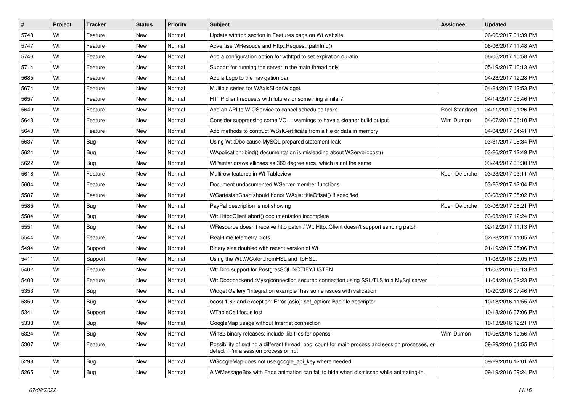| $\sharp$ | Project | <b>Tracker</b> | <b>Status</b> | <b>Priority</b> | <b>Subject</b>                                                                                                                            | Assignee       | <b>Updated</b>      |
|----------|---------|----------------|---------------|-----------------|-------------------------------------------------------------------------------------------------------------------------------------------|----------------|---------------------|
| 5748     | Wt      | Feature        | New           | Normal          | Update wthttpd section in Features page on Wt website                                                                                     |                | 06/06/2017 01:39 PM |
| 5747     | Wt      | Feature        | <b>New</b>    | Normal          | Advertise WResouce and Http::Request::pathInfo()                                                                                          |                | 06/06/2017 11:48 AM |
| 5746     | Wt      | Feature        | New           | Normal          | Add a configuration option for wthttpd to set expiration duratio                                                                          |                | 06/05/2017 10:58 AM |
| 5714     | Wt      | Feature        | New           | Normal          | Support for running the server in the main thread only                                                                                    |                | 05/19/2017 10:13 AM |
| 5685     | Wt      | Feature        | New           | Normal          | Add a Logo to the navigation bar                                                                                                          |                | 04/28/2017 12:28 PM |
| 5674     | Wt      | Feature        | New           | Normal          | Multiple series for WAxisSliderWidget.                                                                                                    |                | 04/24/2017 12:53 PM |
| 5657     | Wt      | Feature        | <b>New</b>    | Normal          | HTTP client requests with futures or something similar?                                                                                   |                | 04/14/2017 05:46 PM |
| 5649     | Wt      | Feature        | New           | Normal          | Add an API to WIOService to cancel scheduled tasks                                                                                        | Roel Standaert | 04/11/2017 01:26 PM |
| 5643     | Wt      | Feature        | <b>New</b>    | Normal          | Consider suppressing some VC++ warnings to have a cleaner build output                                                                    | Wim Dumon      | 04/07/2017 06:10 PM |
| 5640     | Wt      | Feature        | <b>New</b>    | Normal          | Add methods to contruct WSslCertificate from a file or data in memory                                                                     |                | 04/04/2017 04:41 PM |
| 5637     | Wt      | <b>Bug</b>     | New           | Normal          | Using Wt::Dbo cause MySQL prepared statement leak                                                                                         |                | 03/31/2017 06:34 PM |
| 5624     | Wt      | Bug            | New           | Normal          | WApplication::bind() documentation is misleading about WServer::post()                                                                    |                | 03/26/2017 12:49 PM |
| 5622     | Wt      | <b>Bug</b>     | New           | Normal          | WPainter draws ellipses as 360 degree arcs, which is not the same                                                                         |                | 03/24/2017 03:30 PM |
| 5618     | Wt      | Feature        | <b>New</b>    | Normal          | Multirow features in Wt Tableview                                                                                                         | Koen Deforche  | 03/23/2017 03:11 AM |
| 5604     | Wt      | Feature        | New           | Normal          | Document undocumented WServer member functions                                                                                            |                | 03/26/2017 12:04 PM |
| 5587     | Wt      | Feature        | New           | Normal          | WCartesianChart should honor WAxis::titleOffset() if specified                                                                            |                | 03/08/2017 05:02 PM |
| 5585     | Wt      | Bug            | New           | Normal          | PayPal description is not showing                                                                                                         | Koen Deforche  | 03/06/2017 08:21 PM |
| 5584     | Wt      | <b>Bug</b>     | New           | Normal          | Wt::Http::Client abort() documentation incomplete                                                                                         |                | 03/03/2017 12:24 PM |
| 5551     | Wt      | Bug            | New           | Normal          | WResource doesn't receive http patch / Wt::Http::Client doesn't support sending patch                                                     |                | 02/12/2017 11:13 PM |
| 5544     | Wt      | Feature        | <b>New</b>    | Normal          | Real-time telemetry plots                                                                                                                 |                | 02/23/2017 11:05 AM |
| 5494     | Wt      | Support        | New           | Normal          | Binary size doubled with recent version of Wt                                                                                             |                | 01/19/2017 05:06 PM |
| 5411     | Wt      | Support        | <b>New</b>    | Normal          | Using the Wt::WColor::fromHSL and toHSL.                                                                                                  |                | 11/08/2016 03:05 PM |
| 5402     | Wt      | Feature        | <b>New</b>    | Normal          | Wt::Dbo support for PostgresSQL NOTIFY/LISTEN                                                                                             |                | 11/06/2016 06:13 PM |
| 5400     | Wt      | Feature        | New           | Normal          | Wt::Dbo::backend::Mysqlconnection secured connection using SSL/TLS to a MySql server                                                      |                | 11/04/2016 02:23 PM |
| 5353     | Wt      | Bug            | New           | Normal          | Widget Gallery "Integration example" has some issues with validation                                                                      |                | 10/20/2016 07:46 PM |
| 5350     | Wt      | <b>Bug</b>     | New           | Normal          | boost 1.62 and exception: Error (asio): set_option: Bad file descriptor                                                                   |                | 10/18/2016 11:55 AM |
| 5341     | Wt      | Support        | New           | Normal          | <b>WTableCell focus lost</b>                                                                                                              |                | 10/13/2016 07:06 PM |
| 5338     | Wt      | <b>Bug</b>     | New           | Normal          | GoogleMap usage without Internet connection                                                                                               |                | 10/13/2016 12:21 PM |
| 5324     | Wt      | Bug            | New           | Normal          | Win32 binary releases: include .lib files for openssl                                                                                     | Wim Dumon      | 10/06/2016 12:56 AM |
| 5307     | Wt      | Feature        | New           | Normal          | Possibility of setting a different thread_pool count for main process and session processes, or<br>detect if I'm a session process or not |                | 09/29/2016 04:55 PM |
| 5298     | Wt      | <b>Bug</b>     | New           | Normal          | WGoogleMap does not use google_api_key where needed                                                                                       |                | 09/29/2016 12:01 AM |
| 5265     | Wt      | <b>Bug</b>     | New           | Normal          | A WMessageBox with Fade animation can fail to hide when dismissed while animating-in.                                                     |                | 09/19/2016 09:24 PM |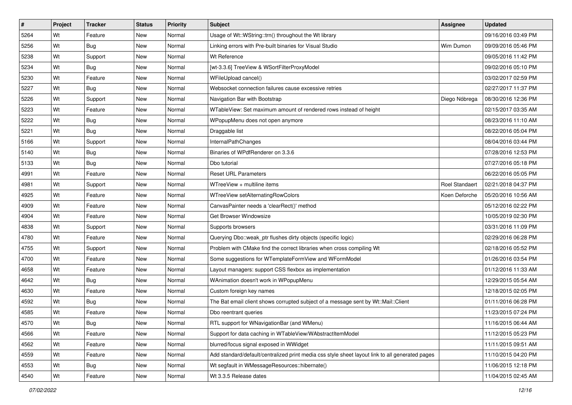| #    | Project | <b>Tracker</b> | <b>Status</b> | <b>Priority</b> | Subject                                                                                         | <b>Assignee</b>       | <b>Updated</b>      |
|------|---------|----------------|---------------|-----------------|-------------------------------------------------------------------------------------------------|-----------------------|---------------------|
| 5264 | Wt      | Feature        | New           | Normal          | Usage of Wt::WString::trn() throughout the Wt library                                           |                       | 09/16/2016 03:49 PM |
| 5256 | Wt      | <b>Bug</b>     | New           | Normal          | Linking errors with Pre-built binaries for Visual Studio                                        | Wim Dumon             | 09/09/2016 05:46 PM |
| 5238 | Wt      | Support        | New           | Normal          | Wt Reference                                                                                    |                       | 09/05/2016 11:42 PM |
| 5234 | Wt      | <b>Bug</b>     | <b>New</b>    | Normal          | [wt-3.3.6] TreeView & WSortFilterProxyModel                                                     |                       | 09/02/2016 05:10 PM |
| 5230 | Wt      | Feature        | New           | Normal          | WFileUpload cancel()                                                                            |                       | 03/02/2017 02:59 PM |
| 5227 | Wt      | Bug            | New           | Normal          | Websocket connection failures cause excessive retries                                           |                       | 02/27/2017 11:37 PM |
| 5226 | Wt      | Support        | New           | Normal          | Navigation Bar with Bootstrap                                                                   | Diego Nóbrega         | 08/30/2016 12:36 PM |
| 5223 | Wt      | Feature        | New           | Normal          | WTableView: Set maximum amount of rendered rows instead of height                               |                       | 02/15/2017 03:35 AM |
| 5222 | Wt      | <b>Bug</b>     | New           | Normal          | WPopupMenu does not open anymore                                                                |                       | 08/23/2016 11:10 AM |
| 5221 | Wt      | Bug            | New           | Normal          | Draggable list                                                                                  |                       | 08/22/2016 05:04 PM |
| 5166 | Wt      | Support        | New           | Normal          | InternalPathChanges                                                                             |                       | 08/04/2016 03:44 PM |
| 5140 | Wt      | <b>Bug</b>     | New           | Normal          | Binaries of WPdfRenderer on 3.3.6                                                               |                       | 07/28/2016 12:53 PM |
| 5133 | Wt      | Bug            | New           | Normal          | Dbo tutorial                                                                                    |                       | 07/27/2016 05:18 PM |
| 4991 | Wt      | Feature        | New           | Normal          | <b>Reset URL Parameters</b>                                                                     |                       | 06/22/2016 05:05 PM |
| 4981 | Wt      | Support        | New           | Normal          | WTreeView + multiline items                                                                     | <b>Roel Standaert</b> | 02/21/2018 04:37 PM |
| 4925 | Wt      | Feature        | New           | Normal          | WTreeView setAlternatingRowColors                                                               | Koen Deforche         | 05/20/2016 10:56 AM |
| 4909 | Wt      | Feature        | <b>New</b>    | Normal          | CanvasPainter needs a 'clearRect()' method                                                      |                       | 05/12/2016 02:22 PM |
| 4904 | Wt      | Feature        | New           | Normal          | Get Browser Windowsize                                                                          |                       | 10/05/2019 02:30 PM |
| 4838 | Wt      | Support        | New           | Normal          | Supports browsers                                                                               |                       | 03/31/2016 11:09 PM |
| 4780 | Wt      | Feature        | <b>New</b>    | Normal          | Querying Dbo::weak_ptr flushes dirty objects (specific logic)                                   |                       | 02/29/2016 06:28 PM |
| 4755 | Wt      | Support        | New           | Normal          | Problem with CMake find the correct libraries when cross compiling Wt                           |                       | 02/18/2016 05:52 PM |
| 4700 | Wt      | Feature        | New           | Normal          | Some suggestions for WTemplateFormView and WFormModel                                           |                       | 01/26/2016 03:54 PM |
| 4658 | Wt      | Feature        | <b>New</b>    | Normal          | Layout managers: support CSS flexbox as implementation                                          |                       | 01/12/2016 11:33 AM |
| 4642 | Wt      | <b>Bug</b>     | New           | Normal          | WAnimation doesn't work in WPopupMenu                                                           |                       | 12/29/2015 05:54 AM |
| 4630 | Wt      | Feature        | New           | Normal          | Custom foreign key names                                                                        |                       | 12/18/2015 02:05 PM |
| 4592 | Wt      | Bug            | <b>New</b>    | Normal          | The Bat email client shows corrupted subject of a message sent by Wt::Mail::Client              |                       | 01/11/2016 06:28 PM |
| 4585 | Wt      | Feature        | New           | Normal          | Dbo reentrant queries                                                                           |                       | 11/23/2015 07:24 PM |
| 4570 | Wt      | <b>Bug</b>     | New           | Normal          | RTL support for WNavigationBar (and WMenu)                                                      |                       | 11/16/2015 06:44 AM |
| 4566 | Wt      | Feature        | New           | Normal          | Support for data caching in WTableView/WAbstractItemModel                                       |                       | 11/12/2015 05:23 PM |
| 4562 | Wt      | Feature        | New           | Normal          | blurred/focus signal exposed in WWidget                                                         |                       | 11/11/2015 09:51 AM |
| 4559 | Wt      | Feature        | New           | Normal          | Add standard/default/centralized print media css style sheet layout link to all generated pages |                       | 11/10/2015 04:20 PM |
| 4553 | Wt      | <b>Bug</b>     | New           | Normal          | Wt segfault in WMessageResources::hibernate()                                                   |                       | 11/06/2015 12:18 PM |
| 4540 | Wt      | Feature        | New           | Normal          | Wt 3.3.5 Release dates                                                                          |                       | 11/04/2015 02:45 AM |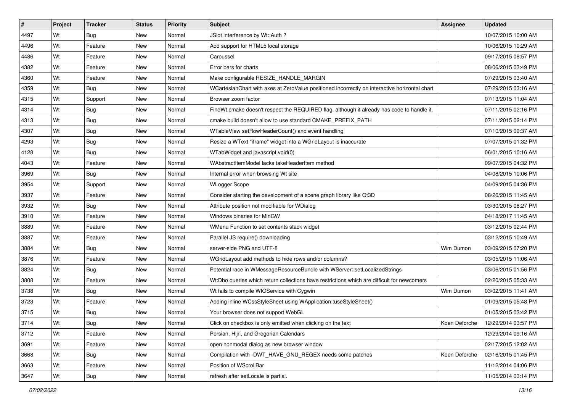| $\sharp$ | Project | <b>Tracker</b> | <b>Status</b> | <b>Priority</b> | <b>Subject</b>                                                                                | Assignee      | <b>Updated</b>      |
|----------|---------|----------------|---------------|-----------------|-----------------------------------------------------------------------------------------------|---------------|---------------------|
| 4497     | Wt      | Bug            | New           | Normal          | JSlot interference by Wt::Auth?                                                               |               | 10/07/2015 10:00 AM |
| 4496     | Wt      | Feature        | <b>New</b>    | Normal          | Add support for HTML5 local storage                                                           |               | 10/06/2015 10:29 AM |
| 4486     | Wt      | Feature        | New           | Normal          | Caroussel                                                                                     |               | 09/17/2015 08:57 PM |
| 4382     | Wt      | Feature        | New           | Normal          | Error bars for charts                                                                         |               | 08/06/2015 03:49 PM |
| 4360     | Wt      | Feature        | <b>New</b>    | Normal          | Make configurable RESIZE_HANDLE_MARGIN                                                        |               | 07/29/2015 03:40 AM |
| 4359     | Wt      | Bug            | New           | Normal          | WCartesianChart with axes at ZeroValue positioned incorrectly on interactive horizontal chart |               | 07/29/2015 03:16 AM |
| 4315     | Wt      | Support        | <b>New</b>    | Normal          | Browser zoom factor                                                                           |               | 07/13/2015 11:04 AM |
| 4314     | Wt      | Bug            | New           | Normal          | FindWt.cmake doesn't respect the REQUIRED flag, although it already has code to handle it.    |               | 07/11/2015 02:16 PM |
| 4313     | Wt      | <b>Bug</b>     | <b>New</b>    | Normal          | cmake build doesn't allow to use standard CMAKE PREFIX PATH                                   |               | 07/11/2015 02:14 PM |
| 4307     | Wt      | Bug            | New           | Normal          | WTableView setRowHeaderCount() and event handling                                             |               | 07/10/2015 09:37 AM |
| 4293     | Wt      | Bug            | New           | Normal          | Resize a WText "iframe" widget into a WGridLayout is inaccurate                               |               | 07/07/2015 01:32 PM |
| 4128     | Wt      | Bug            | New           | Normal          | WTabWidget and javascript.void(0)                                                             |               | 06/01/2015 10:16 AM |
| 4043     | Wt      | Feature        | New           | Normal          | WAbstractItemModel lacks takeHeaderItem method                                                |               | 09/07/2015 04:32 PM |
| 3969     | Wt      | Bug            | New           | Normal          | Internal error when browsing Wt site                                                          |               | 04/08/2015 10:06 PM |
| 3954     | Wt      | Support        | New           | Normal          | <b>WLogger Scope</b>                                                                          |               | 04/09/2015 04:36 PM |
| 3937     | Wt      | Feature        | New           | Normal          | Consider starting the development of a scene graph library like Qt3D                          |               | 08/26/2015 11:45 AM |
| 3932     | Wt      | Bug            | New           | Normal          | Attribute position not modifiable for WDialog                                                 |               | 03/30/2015 08:27 PM |
| 3910     | Wt      | Feature        | New           | Normal          | Windows binaries for MinGW                                                                    |               | 04/18/2017 11:45 AM |
| 3889     | Wt      | Feature        | New           | Normal          | WMenu Function to set contents stack widget                                                   |               | 03/12/2015 02:44 PM |
| 3887     | Wt      | Feature        | <b>New</b>    | Normal          | Parallel JS require() downloading                                                             |               | 03/12/2015 10:49 AM |
| 3884     | Wt      | Bug            | New           | Normal          | server-side PNG and UTF-8                                                                     | Wim Dumon     | 03/09/2015 07:20 PM |
| 3876     | Wt      | Feature        | <b>New</b>    | Normal          | WGridLayout add methods to hide rows and/or columns?                                          |               | 03/05/2015 11:06 AM |
| 3824     | Wt      | Bug            | New           | Normal          | Potential race in WMessageResourceBundle with WServer::setLocalizedStrings                    |               | 03/06/2015 01:56 PM |
| 3808     | Wt      | Feature        | New           | Normal          | Wt:Dbo queries which return collections have restrictions which are difficult for newcomers   |               | 02/20/2015 05:33 AM |
| 3738     | Wt      | <b>Bug</b>     | New           | Normal          | Wt fails to compile WIOService with Cygwin                                                    | Wim Dumon     | 03/02/2015 11:41 AM |
| 3723     | Wt      | Feature        | New           | Normal          | Adding inline WCssStyleSheet using WApplication::useStyleSheet()                              |               | 01/09/2015 05:48 PM |
| 3715     | Wt      | <b>Bug</b>     | New           | Normal          | Your browser does not support WebGL                                                           |               | 01/05/2015 03:42 PM |
| 3714     | Wt      | <b>Bug</b>     | New           | Normal          | Click on checkbox is only emitted when clicking on the text                                   | Koen Deforche | 12/29/2014 03:57 PM |
| 3712     | Wt      | Feature        | New           | Normal          | Persian, Hijri, and Gregorian Calendars                                                       |               | 12/29/2014 09:16 AM |
| 3691     | Wt      | Feature        | New           | Normal          | open nonmodal dialog as new browser window                                                    |               | 02/17/2015 12:02 AM |
| 3668     | Wt      | <b>Bug</b>     | New           | Normal          | Compilation with -DWT_HAVE_GNU_REGEX needs some patches                                       | Koen Deforche | 02/16/2015 01:45 PM |
| 3663     | Wt      | Feature        | New           | Normal          | Position of WScrollBar                                                                        |               | 11/12/2014 04:06 PM |
| 3647     | Wt      | Bug            | New           | Normal          | refresh after setLocale is partial.                                                           |               | 11/05/2014 03:14 PM |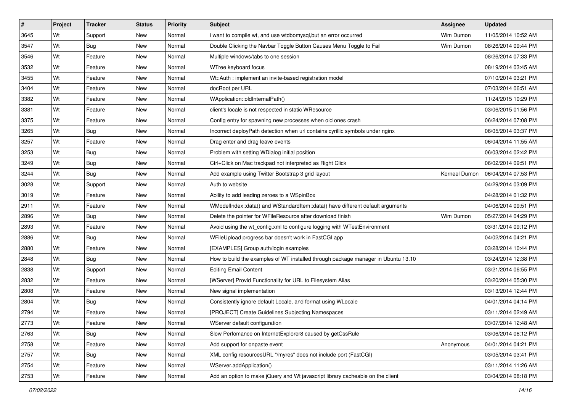| #    | Project | <b>Tracker</b> | <b>Status</b> | <b>Priority</b> | <b>Subject</b>                                                                    | <b>Assignee</b> | <b>Updated</b>      |
|------|---------|----------------|---------------|-----------------|-----------------------------------------------------------------------------------|-----------------|---------------------|
| 3645 | Wt      | Support        | New           | Normal          | i want to compile wt, and use wtdbomysql, but an error occurred                   | Wim Dumon       | 11/05/2014 10:52 AM |
| 3547 | Wt      | Bug            | <b>New</b>    | Normal          | Double Clicking the Navbar Toggle Button Causes Menu Toggle to Fail               | Wim Dumon       | 08/26/2014 09:44 PM |
| 3546 | Wt      | Feature        | New           | Normal          | Multiple windows/tabs to one session                                              |                 | 08/26/2014 07:33 PM |
| 3532 | Wt      | Feature        | New           | Normal          | WTree keyboard focus                                                              |                 | 08/19/2014 03:45 AM |
| 3455 | Wt      | Feature        | New           | Normal          | Wt::Auth : implement an invite-based registration model                           |                 | 07/10/2014 03:21 PM |
| 3404 | Wt      | Feature        | New           | Normal          | docRoot per URL                                                                   |                 | 07/03/2014 06:51 AM |
| 3382 | Wt      | Feature        | New           | Normal          | WApplication::oldInternalPath()                                                   |                 | 11/24/2015 10:29 PM |
| 3381 | Wt      | Feature        | New           | Normal          | client's locale is not respected in static WResource                              |                 | 03/06/2015 01:56 PM |
| 3375 | Wt      | Feature        | New           | Normal          | Config entry for spawning new processes when old ones crash                       |                 | 06/24/2014 07:08 PM |
| 3265 | Wt      | Bug            | <b>New</b>    | Normal          | Incorrect deployPath detection when url contains cyrillic symbols under nginx     |                 | 06/05/2014 03:37 PM |
| 3257 | Wt      | Feature        | New           | Normal          | Drag enter and drag leave events                                                  |                 | 06/04/2014 11:55 AM |
| 3253 | Wt      | Bug            | New           | Normal          | Problem with setting WDialog initial position                                     |                 | 06/03/2014 02:42 PM |
| 3249 | Wt      | Bug            | New           | Normal          | Ctrl+Click on Mac trackpad not interpreted as Right Click                         |                 | 06/02/2014 09:51 PM |
| 3244 | Wt      | Bug            | New           | Normal          | Add example using Twitter Bootstrap 3 grid layout                                 | Korneel Dumon   | 06/04/2014 07:53 PM |
| 3028 | Wt      | Support        | <b>New</b>    | Normal          | Auth to website                                                                   |                 | 04/29/2014 03:09 PM |
| 3019 | Wt      | Feature        | New           | Normal          | Ability to add leading zeroes to a WSpinBox                                       |                 | 04/28/2014 01:32 PM |
| 2911 | Wt      | Feature        | <b>New</b>    | Normal          | WModelIndex::data() and WStandardItem::data() have different default arguments    |                 | 04/06/2014 09:51 PM |
| 2896 | Wt      | Bug            | New           | Normal          | Delete the pointer for WFileResource after download finish                        | Wim Dumon       | 05/27/2014 04:29 PM |
| 2893 | Wt      | Feature        | New           | Normal          | Avoid using the wt config.xml to configure logging with WTestEnvironment          |                 | 03/31/2014 09:12 PM |
| 2886 | Wt      | Bug            | New           | Normal          | WFileUpload progress bar doesn't work in FastCGI app                              |                 | 04/02/2014 04:21 PM |
| 2880 | Wt      | Feature        | New           | Normal          | [EXAMPLES] Group auth/login examples                                              |                 | 03/28/2014 10:44 PM |
| 2848 | Wt      | Bug            | <b>New</b>    | Normal          | How to build the examples of WT installed through package manager in Ubuntu 13.10 |                 | 03/24/2014 12:38 PM |
| 2838 | Wt      | Support        | <b>New</b>    | Normal          | <b>Editing Email Content</b>                                                      |                 | 03/21/2014 06:55 PM |
| 2832 | Wt      | Feature        | New           | Normal          | [WServer] Provid Functionality for URL to Filesystem Alias                        |                 | 03/20/2014 05:30 PM |
| 2808 | Wt      | Feature        | New           | Normal          | New signal implementation                                                         |                 | 03/13/2014 12:44 PM |
| 2804 | Wt      | Bug            | New           | Normal          | Consistently ignore default Locale, and format using WLocale                      |                 | 04/01/2014 04:14 PM |
| 2794 | Wt      | Feature        | New           | Normal          | [PROJECT] Create Guidelines Subjecting Namespaces                                 |                 | 03/11/2014 02:49 AM |
| 2773 | Wt      | Feature        | New           | Normal          | WServer default configuration                                                     |                 | 03/07/2014 12:48 AM |
| 2763 | Wt      | Bug            | New           | Normal          | Slow Perfomance on InternetExplorer8 caused by getCssRule                         |                 | 03/06/2014 06:12 PM |
| 2758 | Wt      | Feature        | New           | Normal          | Add support for onpaste event                                                     | Anonymous       | 04/01/2014 04:21 PM |
| 2757 | Wt      | Bug            | New           | Normal          | XML config resourcesURL "/myres" does not include port (FastCGI)                  |                 | 03/05/2014 03:41 PM |
| 2754 | Wt      | Feature        | New           | Normal          | WServer.addApplication()                                                          |                 | 03/11/2014 11:26 AM |
| 2753 | Wt      | Feature        | New           | Normal          | Add an option to make jQuery and Wt javascript library cacheable on the client    |                 | 03/04/2014 08:18 PM |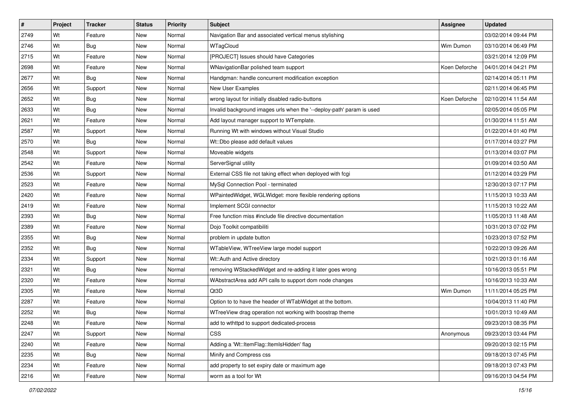| #    | Project | <b>Tracker</b> | <b>Status</b> | <b>Priority</b> | <b>Subject</b>                                                        | Assignee      | <b>Updated</b>      |
|------|---------|----------------|---------------|-----------------|-----------------------------------------------------------------------|---------------|---------------------|
| 2749 | Wt      | Feature        | New           | Normal          | Navigation Bar and associated vertical menus stylishing               |               | 03/02/2014 09:44 PM |
| 2746 | Wt      | Bug            | <b>New</b>    | Normal          | WTagCloud                                                             | Wim Dumon     | 03/10/2014 06:49 PM |
| 2715 | Wt      | Feature        | New           | Normal          | [PROJECT] Issues should have Categories                               |               | 03/21/2014 12:09 PM |
| 2698 | Wt      | Feature        | New           | Normal          | WNavigationBar polished team support                                  | Koen Deforche | 04/01/2014 04:21 PM |
| 2677 | Wt      | Bug            | New           | Normal          | Handgman: handle concurrent modification exception                    |               | 02/14/2014 05:11 PM |
| 2656 | Wt      | Support        | New           | Normal          | New User Examples                                                     |               | 02/11/2014 06:45 PM |
| 2652 | Wt      | Bug            | New           | Normal          | wrong layout for initially disabled radio-buttons                     | Koen Deforche | 02/10/2014 11:54 AM |
| 2633 | Wt      | <b>Bug</b>     | New           | Normal          | Invalid background images urls when the '--deploy-path' param is used |               | 02/05/2014 05:05 PM |
| 2621 | Wt      | Feature        | <b>New</b>    | Normal          | Add layout manager support to WTemplate.                              |               | 01/30/2014 11:51 AM |
| 2587 | Wt      | Support        | <b>New</b>    | Normal          | Running Wt with windows without Visual Studio                         |               | 01/22/2014 01:40 PM |
| 2570 | Wt      | <b>Bug</b>     | New           | Normal          | Wt::Dbo please add default values                                     |               | 01/17/2014 03:27 PM |
| 2548 | Wt      | Support        | New           | Normal          | Moveable widgets                                                      |               | 01/13/2014 03:07 PM |
| 2542 | Wt      | Feature        | New           | Normal          | ServerSignal utility                                                  |               | 01/09/2014 03:50 AM |
| 2536 | Wt      | Support        | New           | Normal          | External CSS file not taking effect when deployed with fcgi           |               | 01/12/2014 03:29 PM |
| 2523 | Wt      | Feature        | <b>New</b>    | Normal          | MySql Connection Pool - terminated                                    |               | 12/30/2013 07:17 PM |
| 2420 | Wt      | Feature        | New           | Normal          | WPaintedWidget, WGLWidget: more flexible rendering options            |               | 11/15/2013 10:33 AM |
| 2419 | Wt      | Feature        | <b>New</b>    | Normal          | Implement SCGI connector                                              |               | 11/15/2013 10:22 AM |
| 2393 | Wt      | Bug            | New           | Normal          | Free function miss #include file directive documentation              |               | 11/05/2013 11:48 AM |
| 2389 | Wt      | Feature        | New           | Normal          | Dojo Toolkit compatibiliti                                            |               | 10/31/2013 07:02 PM |
| 2355 | Wt      | Bug            | New           | Normal          | problem in update button                                              |               | 10/23/2013 07:52 PM |
| 2352 | Wt      | <b>Bug</b>     | New           | Normal          | WTableView, WTreeView large model support                             |               | 10/22/2013 09:26 AM |
| 2334 | Wt      | Support        | New           | Normal          | Wt::Auth and Active directory                                         |               | 10/21/2013 01:16 AM |
| 2321 | Wt      | Bug            | <b>New</b>    | Normal          | removing WStackedWidget and re-adding it later goes wrong             |               | 10/16/2013 05:51 PM |
| 2320 | Wt      | Feature        | New           | Normal          | WAbstractArea add API calls to support dom node changes               |               | 10/16/2013 10:33 AM |
| 2305 | Wt      | Feature        | New           | Normal          | Qt3D                                                                  | Wim Dumon     | 11/11/2014 05:25 PM |
| 2287 | Wt      | Feature        | <b>New</b>    | Normal          | Option to to have the header of WTabWidget at the bottom.             |               | 10/04/2013 11:40 PM |
| 2252 | Wt      | <b>Bug</b>     | New           | Normal          | WTreeView drag operation not working with boostrap theme              |               | 10/01/2013 10:49 AM |
| 2248 | Wt      | Feature        | New           | Normal          | add to wthttpd to support dedicated-process                           |               | 09/23/2013 08:35 PM |
| 2247 | Wt      | Support        | New           | Normal          | <b>CSS</b>                                                            | Anonymous     | 09/23/2013 03:44 PM |
| 2240 | Wt      | Feature        | New           | Normal          | Adding a 'Wt::ItemFlag::ItemIsHidden' flag                            |               | 09/20/2013 02:15 PM |
| 2235 | Wt      | Bug            | New           | Normal          | Minify and Compress css                                               |               | 09/18/2013 07:45 PM |
| 2234 | Wt      | Feature        | New           | Normal          | add property to set expiry date or maximum age                        |               | 09/18/2013 07:43 PM |
| 2216 | Wt      | Feature        | New           | Normal          | worm as a tool for Wt                                                 |               | 09/16/2013 04:54 PM |